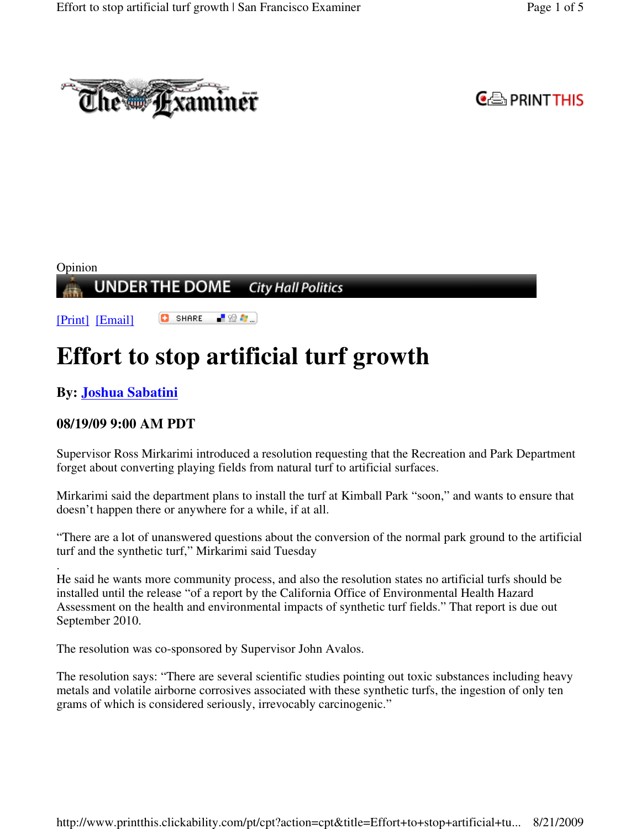



#### Opinion **UNDER THE DOME City Hall Politics**

**C** SHARE 上没有。 [Print] [Email]

# **Effort to stop artificial turf growth**

# **By: Joshua Sabatini**

## **08/19/09 9:00 AM PDT**

Supervisor Ross Mirkarimi introduced a resolution requesting that the Recreation and Park Department forget about converting playing fields from natural turf to artificial surfaces.

Mirkarimi said the department plans to install the turf at Kimball Park "soon," and wants to ensure that doesn't happen there or anywhere for a while, if at all.

"There are a lot of unanswered questions about the conversion of the normal park ground to the artificial turf and the synthetic turf," Mirkarimi said Tuesday

. He said he wants more community process, and also the resolution states no artificial turfs should be installed until the release "of a report by the California Office of Environmental Health Hazard Assessment on the health and environmental impacts of synthetic turf fields." That report is due out September 2010.

The resolution was co-sponsored by Supervisor John Avalos.

The resolution says: "There are several scientific studies pointing out toxic substances including heavy metals and volatile airborne corrosives associated with these synthetic turfs, the ingestion of only ten grams of which is considered seriously, irrevocably carcinogenic."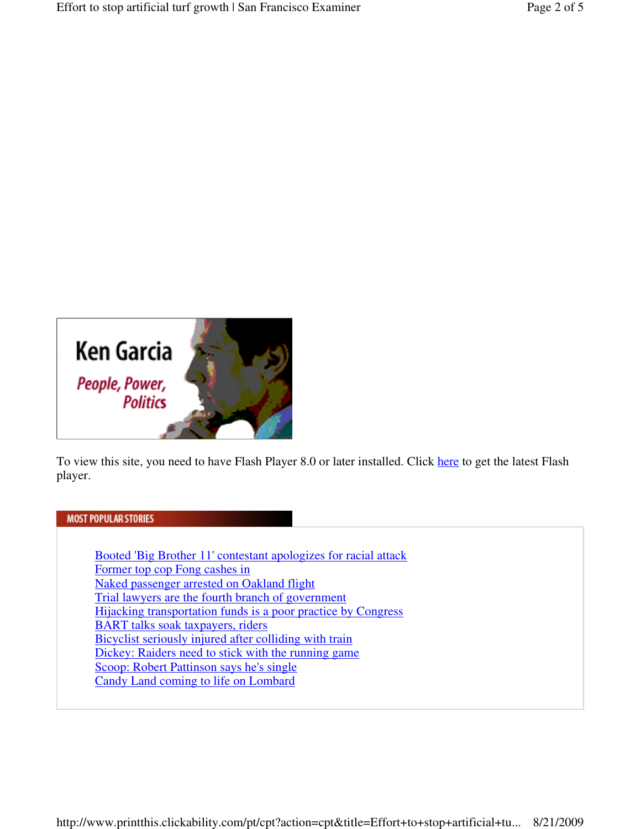

To view this site, you need to have Flash Player 8.0 or later installed. Click here to get the latest Flash player.

#### **MOST POPULAR STORIES**

Booted 'Big Brother 11' contestant apologizes for racial attack Former top cop Fong cashes in Naked passenger arrested on Oakland flight Trial lawyers are the fourth branch of government Hijacking transportation funds is a poor practice by Congress BART talks soak taxpayers, riders Bicyclist seriously injured after colliding with train Dickey: Raiders need to stick with the running game Scoop: Robert Pattinson says he's single Candy Land coming to life on Lombard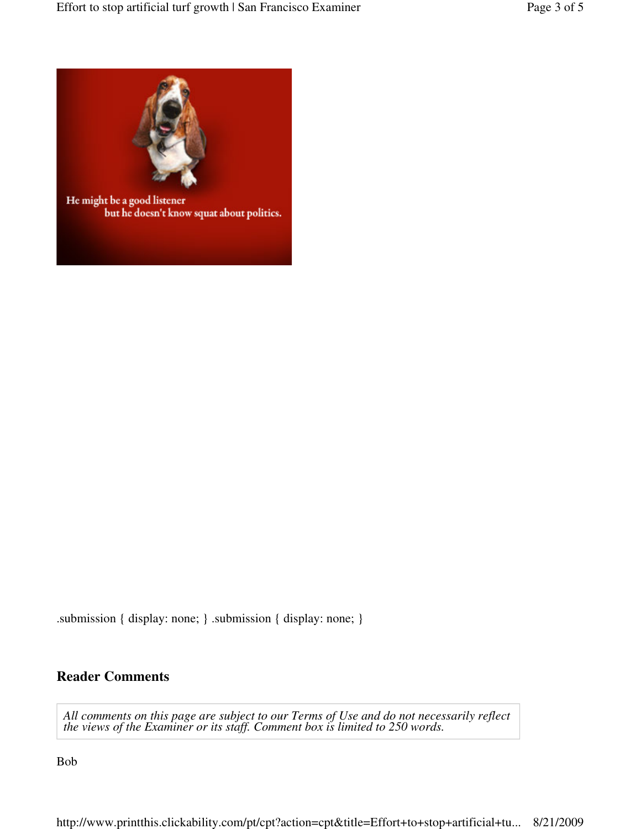

He might be a good listener but he doesn't know squat about politics.

.submission { display: none; } .submission { display: none; }

#### **Reader Comments**

*All comments on this page are subject to our Terms of Use and do not necessarily reflect the views of the Examiner or its staff. Comment box is limited to 250 words.*

Bob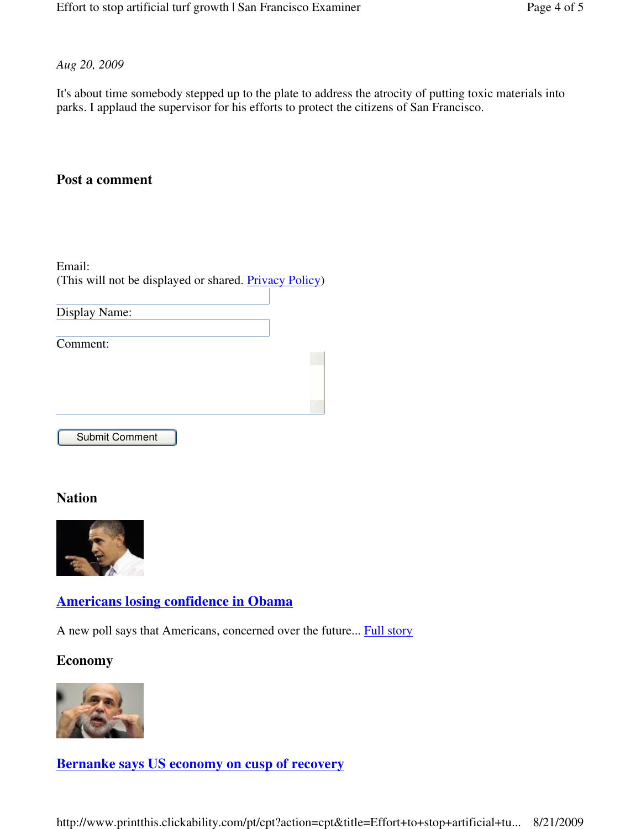*Aug 20, 2009*

It's about time somebody stepped up to the plate to address the atrocity of putting toxic materials into parks. I applaud the supervisor for his efforts to protect the citizens of San Francisco.

# **Post a comment**

Email: (This will not be displayed or shared. Privacy Policy)

Display Name:

Comment:

Submit Comment

#### **Nation**



## **Americans losing confidence in Obama**

A new poll says that Americans, concerned over the future... Full story

**Economy** 



**Bernanke says US economy on cusp of recovery** 

http://www.printthis.clickability.com/pt/cpt?action=cpt&title=Effort+to+stop+artificial+tu... 8/21/2009